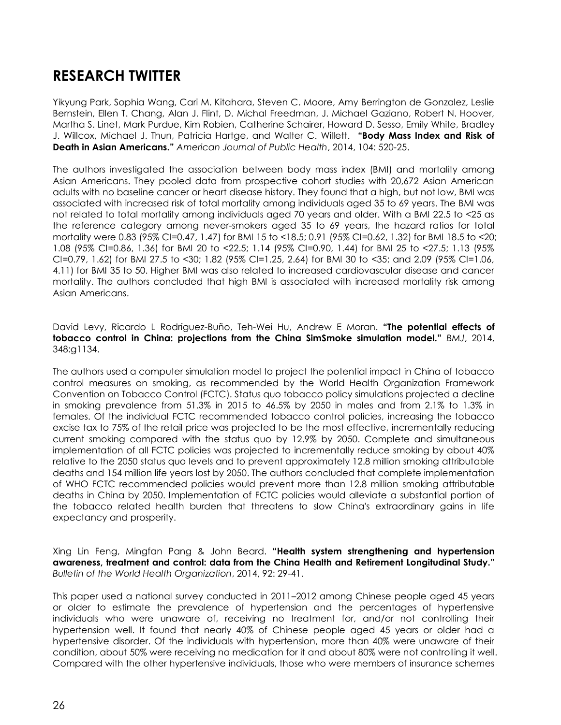## **RESEARCH TWITTER**

Yikyung Park, Sophia Wang, Cari M. Kitahara, Steven C. Moore, Amy Berrington de Gonzalez, Leslie Bernstein, Ellen T. Chang, Alan J. Flint, D. Michal Freedman, J. Michael Gaziano, Robert N. Hoover, Martha S. Linet, Mark Purdue, Kim Robien, Catherine Schairer, Howard D. Sesso, Emily White, Bradley J. Willcox, Michael J. Thun, Patricia Hartge, and Walter C. Willett. **"Body Mass Index and Risk of Death in Asian Americans."** *American Journal of Public Health*, 2014, 104: 520-25.

The authors investigated the association between body mass index (BMI) and mortality among Asian Americans. They pooled data from prospective cohort studies with 20,672 Asian American adults with no baseline cancer or heart disease history. They found that a high, but not low, BMI was associated with increased risk of total mortality among individuals aged 35 to 69 years. The BMI was not related to total mortality among individuals aged 70 years and older. With a BMI 22.5 to <25 as the reference category among never-smokers aged 35 to 69 years, the hazard ratios for total mortality were 0.83 (95% CI=0.47, 1.47) for BMI 15 to <18.5; 0.91 (95% CI=0.62, 1.32) for BMI 18.5 to <20; 1.08 (95% CI=0.86, 1.36) for BMI 20 to <22.5; 1.14 (95% CI=0.90, 1.44) for BMI 25 to <27.5; 1.13 (95% CI=0.79, 1.62) for BMI 27.5 to <30; 1.82 (95% CI=1.25, 2.64) for BMI 30 to <35; and 2.09 (95% CI=1.06, 4.11) for BMI 35 to 50. Higher BMI was also related to increased cardiovascular disease and cancer mortality. The authors concluded that high BMI is associated with increased mortality risk among Asian Americans.

David Levy, Ricardo L Rodríguez-Buño, Teh-Wei Hu, Andrew E Moran. **"The potential effects of tobacco control in China: projections from the China SimSmoke simulation model."** *BMJ*, 2014, 348:g1134.

The authors used a computer simulation model to project the potential impact in China of tobacco control measures on smoking, as recommended by the World Health Organization Framework Convention on Tobacco Control (FCTC). Status quo tobacco policy simulations projected a decline in smoking prevalence from 51.3% in 2015 to 46.5% by 2050 in males and from 2.1% to 1.3% in females. Of the individual FCTC recommended tobacco control policies, increasing the tobacco excise tax to 75% of the retail price was projected to be the most effective, incrementally reducing current smoking compared with the status quo by 12.9% by 2050. Complete and simultaneous implementation of all FCTC policies was projected to incrementally reduce smoking by about 40% relative to the 2050 status quo levels and to prevent approximately 12.8 million smoking attributable deaths and 154 million life years lost by 2050. The authors concluded that complete implementation of WHO FCTC recommended policies would prevent more than 12.8 million smoking attributable deaths in China by 2050. Implementation of FCTC policies would alleviate a substantial portion of the tobacco related health burden that threatens to slow China's extraordinary gains in life expectancy and prosperity.

Xing Lin Feng, Mingfan Pang & John Beard. **"Health system strengthening and hypertension awareness, treatment and control: data from the China Health and Retirement Longitudinal Study."**  *Bulletin of the World Health Organization*, 2014, 92: 29-41.

This paper used a national survey conducted in 2011–2012 among Chinese people aged 45 years or older to estimate the prevalence of hypertension and the percentages of hypertensive individuals who were unaware of, receiving no treatment for, and/or not controlling their hypertension well. It found that nearly 40% of Chinese people aged 45 years or older had a hypertensive disorder. Of the individuals with hypertension, more than 40% were unaware of their condition, about 50% were receiving no medication for it and about 80% were not controlling it well. Compared with the other hypertensive individuals, those who were members of insurance schemes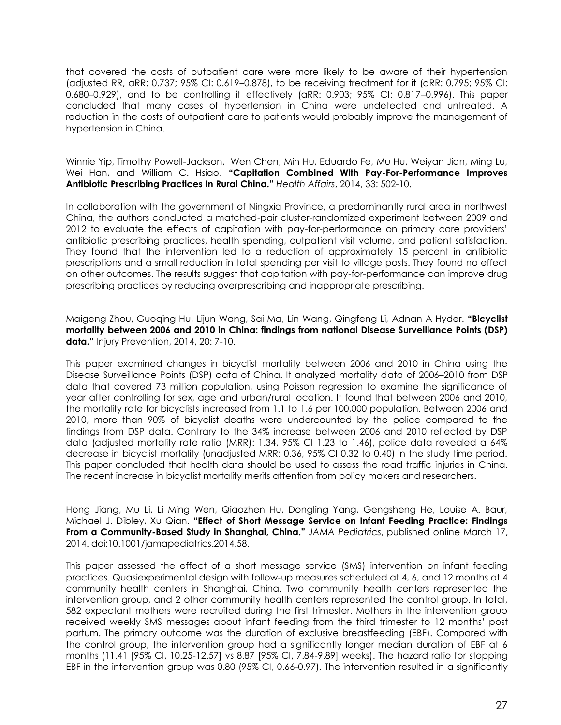that covered the costs of outpatient care were more likely to be aware of their hypertension (adjusted RR, aRR: 0.737; 95% CI: 0.619–0.878), to be receiving treatment for it (aRR: 0.795; 95% CI: 0.680–0.929), and to be controlling it effectively (aRR: 0.903; 95% CI: 0.817–0.996). This paper concluded that many cases of hypertension in China were undetected and untreated. A reduction in the costs of outpatient care to patients would probably improve the management of hypertension in China.

Winnie Yip, Timothy Powell-Jackson, Wen Chen, Min Hu, Eduardo Fe, Mu Hu, Weiyan Jian, Ming Lu, Wei Han, and William C. Hsiao. **"Capitation Combined With Pay-For-Performance Improves Antibiotic Prescribing Practices In Rural China."** *Health Affairs*, 2014, 33: 502-10.

In collaboration with the government of Ningxia Province, a predominantly rural area in northwest China, the authors conducted a matched-pair cluster-randomized experiment between 2009 and 2012 to evaluate the effects of capitation with pay-for-performance on primary care providers' antibiotic prescribing practices, health spending, outpatient visit volume, and patient satisfaction. They found that the intervention led to a reduction of approximately 15 percent in antibiotic prescriptions and a small reduction in total spending per visit to village posts. They found no effect on other outcomes. The results suggest that capitation with pay-for-performance can improve drug prescribing practices by reducing overprescribing and inappropriate prescribing.

Maigeng Zhou, Guoqing Hu, Lijun Wang, Sai Ma, Lin Wang, Qingfeng Li, Adnan A Hyder. **"Bicyclist mortality between 2006 and 2010 in China: findings from national Disease Surveillance Points (DSP) data."** Injury Prevention, 2014, 20: 7-10.

This paper examined changes in bicyclist mortality between 2006 and 2010 in China using the Disease Surveillance Points (DSP) data of China. It analyzed mortality data of 2006–2010 from DSP data that covered 73 million population, using Poisson regression to examine the significance of year after controlling for sex, age and urban/rural location. It found that between 2006 and 2010, the mortality rate for bicyclists increased from 1.1 to 1.6 per 100,000 population. Between 2006 and 2010, more than 90% of bicyclist deaths were undercounted by the police compared to the findings from DSP data. Contrary to the 34% increase between 2006 and 2010 reflected by DSP data (adjusted mortality rate ratio (MRR): 1.34, 95% CI 1.23 to 1.46), police data revealed a 64% decrease in bicyclist mortality (unadjusted MRR: 0.36, 95% CI 0.32 to 0.40) in the study time period. This paper concluded that health data should be used to assess the road traffic injuries in China. The recent increase in bicyclist mortality merits attention from policy makers and researchers.

Hong Jiang, Mu Li, Li Ming Wen, Qiaozhen Hu, Dongling Yang, Gengsheng He, Louise A. Baur, Michael J. Dibley, Xu Qian. **"Effect of Short Message Service on Infant Feeding Practice: Findings From a Community-Based Study in Shanghai, China."** *JAMA Pediatrics*, published online March 17, 2014. doi:10.1001/jamapediatrics.2014.58.

This paper assessed the effect of a short message service (SMS) intervention on infant feeding practices. Quasiexperimental design with follow-up measures scheduled at 4, 6, and 12 months at 4 community health centers in Shanghai, China. Two community health centers represented the intervention group, and 2 other community health centers represented the control group. In total, 582 expectant mothers were recruited during the first trimester. Mothers in the intervention group received weekly SMS messages about infant feeding from the third trimester to 12 months' post partum. The primary outcome was the duration of exclusive breastfeeding (EBF). Compared with the control group, the intervention group had a significantly longer median duration of EBF at 6 months (11.41 [95% CI, 10.25-12.57] vs 8.87 [95% CI, 7.84-9.89] weeks). The hazard ratio for stopping EBF in the intervention group was 0.80 (95% CI, 0.66-0.97). The intervention resulted in a significantly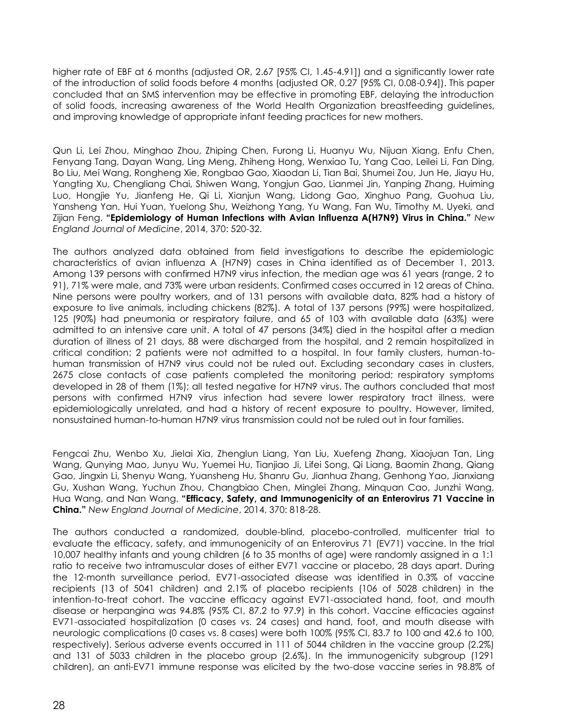higher rate of EBF at 6 months (adjusted OR, 2.67 [95% CI, 1.45-4.91]) and a significantly lower rate of the introduction of solid foods before 4 months (adjusted OR, 0.27 [95% CI, 0.08-0.94]). This paper concluded that an SMS intervention may be effective in promoting EBF, delaying the introduction of solid foods, increasing awareness of the World Health Organization breastfeeding guidelines, and improving knowledge of appropriate infant feeding practices for new mothers.

Qun Li, Lei Zhou, Minghao Zhou, Zhiping Chen, Furong Li, Huanyu Wu, Nijuan Xiang, Enfu Chen, Fenyang Tang, Dayan Wang, Ling Meng, Zhiheng Hong, Wenxiao Tu, Yang Cao, Leilei Li, Fan Ding, Bo Liu, Mei Wang, Rongheng Xie, Rongbao Gao, Xiaodan Li, Tian Bai, Shumei Zou, Jun He, Jiayu Hu, Yangting Xu, Chengliang Chai, Shiwen Wang, Yongjun Gao, Lianmei Jin, Yanping Zhang, Huiming Luo, Hongjie Yu, Jianfeng He, Qi Li, Xianjun Wang, Lidong Gao, Xinghuo Pang, Guohua Liu, Yansheng Yan, Hui Yuan, Yuelong Shu, Weizhong Yang, Yu Wang, Fan Wu, Timothy M. Uyeki, and Zijian Feng. **"Epidemiology of Human Infections with Avian Influenza A(H7N9) Virus in China."** *New England Journal of Medicine*, 2014, 370: 520-32.

The authors analyzed data obtained from field investigations to describe the epidemiologic characteristics of avian influenza A (H7N9) cases in China identified as of December 1, 2013. Among 139 persons with confirmed H7N9 virus infection, the median age was 61 years (range, 2 to 91), 71% were male, and 73% were urban residents. Confirmed cases occurred in 12 areas of China. Nine persons were poultry workers, and of 131 persons with available data, 82% had a history of exposure to live animals, including chickens (82%). A total of 137 persons (99%) were hospitalized, 125 (90%) had pneumonia or respiratory failure, and 65 of 103 with available data (63%) were admitted to an intensive care unit. A total of 47 persons (34%) died in the hospital after a median duration of illness of 21 days, 88 were discharged from the hospital, and 2 remain hospitalized in critical condition; 2 patients were not admitted to a hospital. In four family clusters, human-tohuman transmission of H7N9 virus could not be ruled out. Excluding secondary cases in clusters, 2675 close contacts of case patients completed the monitoring period; respiratory symptoms developed in 28 of them (1%); all tested negative for H7N9 virus. The authors concluded that most persons with confirmed H7N9 virus infection had severe lower respiratory tract illness, were epidemiologically unrelated, and had a history of recent exposure to poultry. However, limited, nonsustained human-to-human H7N9 virus transmission could not be ruled out in four families.

Fengcai Zhu, Wenbo Xu, Jielai Xia, Zhenglun Liang, Yan Liu, Xuefeng Zhang, Xiaojuan Tan, Ling Wang, Qunying Mao, Junyu Wu, Yuemei Hu, Tianjiao Ji, Lifei Song, Qi Liang, Baomin Zhang, Qiang Gao, Jingxin Li, Shenyu Wang, Yuansheng Hu, Shanru Gu, Jianhua Zhang, Genhong Yao, Jianxiang Gu, Xushan Wang, Yuchun Zhou, Changbiao Chen, Minglei Zhang, Minquan Cao, Junzhi Wang, Hua Wang, and Nan Wang. **"Efficacy, Safety, and Immunogenicity of an Enterovirus 71 Vaccine in China."** *New England Journal of Medicine*, 2014, 370: 818-28.

The authors conducted a randomized, double-blind, placebo-controlled, multicenter trial to evaluate the efficacy, safety, and immunogenicity of an Enterovirus 71 (EV71) vaccine. In the trial 10,007 healthy infants and young children (6 to 35 months of age) were randomly assigned in a 1:1 ratio to receive two intramuscular doses of either EV71 vaccine or placebo, 28 days apart. During the 12-month surveillance period, EV71-associated disease was identified in 0.3% of vaccine recipients (13 of 5041 children) and 2.1% of placebo recipients (106 of 5028 children) in the intention-to-treat cohort. The vaccine efficacy against EV71-associated hand, foot, and mouth disease or herpangina was 94.8% (95% CI, 87.2 to 97.9) in this cohort. Vaccine efficacies against EV71-associated hospitalization (0 cases vs. 24 cases) and hand, foot, and mouth disease with neurologic complications (0 cases vs. 8 cases) were both 100% (95% CI, 83.7 to 100 and 42.6 to 100, respectively). Serious adverse events occurred in 111 of 5044 children in the vaccine group (2.2%) and 131 of 5033 children in the placebo group (2.6%). In the immunogenicity subgroup (1291 children), an anti-EV71 immune response was elicited by the two-dose vaccine series in 98.8% of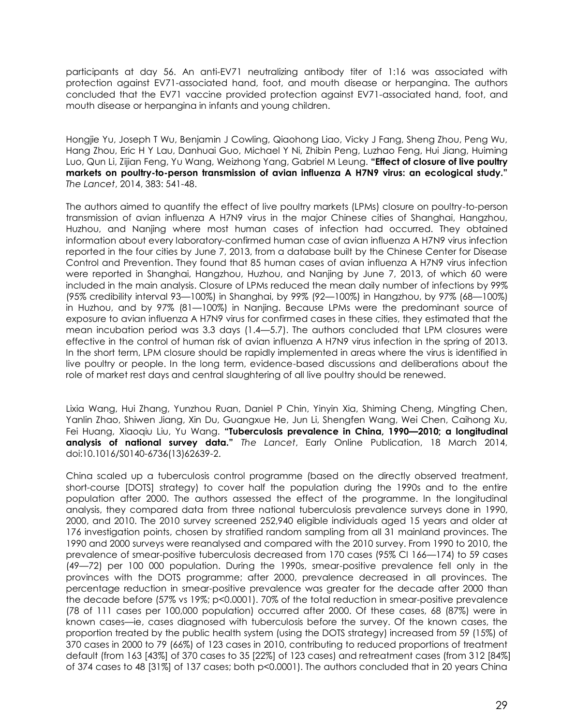participants at day 56. An anti-EV71 neutralizing antibody titer of 1:16 was associated with protection against EV71-associated hand, foot, and mouth disease or herpangina. The authors concluded that the EV71 vaccine provided protection against EV71-associated hand, foot, and mouth disease or herpangina in infants and young children.

Hongjie Yu, Joseph T Wu, Benjamin J Cowling, Qiaohong Liao, Vicky J Fang, Sheng Zhou, Peng Wu, Hang Zhou, Eric H Y Lau, Danhuai Guo, Michael Y Ni, Zhibin Peng, Luzhao Feng, Hui Jiang, Huiming Luo, Qun Li, Zijian Feng, Yu Wang, Weizhong Yang, Gabriel M Leung. **"Effect of closure of live poultry markets on poultry-to-person transmission of avian influenza A H7N9 virus: an ecological study."**  *The Lancet*, 2014, 383: 541-48.

The authors aimed to quantify the effect of live poultry markets (LPMs) closure on poultry-to-person transmission of avian influenza A H7N9 virus in the major Chinese cities of Shanghai, Hangzhou, Huzhou, and Nanjing where most human cases of infection had occurred. They obtained information about every laboratory-confirmed human case of avian influenza A H7N9 virus infection reported in the four cities by June 7, 2013, from a database built by the Chinese Center for Disease Control and Prevention. They found that 85 human cases of avian influenza A H7N9 virus infection were reported in Shanghai, Hangzhou, Huzhou, and Nanjing by June 7, 2013, of which 60 were included in the main analysis. Closure of LPMs reduced the mean daily number of infections by 99% (95% credibility interval 93—100%) in Shanghai, by 99% (92—100%) in Hangzhou, by 97% (68—100%) in Huzhou, and by 97% (81—100%) in Nanjing. Because LPMs were the predominant source of exposure to avian influenza A H7N9 virus for confirmed cases in these cities, they estimated that the mean incubation period was 3.3 days (1.4—5.7). The authors concluded that LPM closures were effective in the control of human risk of avian influenza A H7N9 virus infection in the spring of 2013. In the short term, LPM closure should be rapidly implemented in areas where the virus is identified in live poultry or people. In the long term, evidence-based discussions and deliberations about the role of market rest days and central slaughtering of all live poultry should be renewed.

Lixia Wang, Hui Zhang, Yunzhou Ruan, Daniel P Chin, Yinyin Xia, Shiming Cheng, Mingting Chen, Yanlin Zhao, Shiwen Jiang, Xin Du, Guangxue He, Jun Li, Shengfen Wang, Wei Chen, Caihong Xu, Fei Huang, Xiaoqiu Liu, Yu Wang. **"Tuberculosis prevalence in China, 1990—2010; a longitudinal analysis of national survey data."** *The Lancet*, Early Online Publication, 18 March 2014, doi:10.1016/S0140-6736(13)62639-2.

China scaled up a tuberculosis control programme (based on the directly observed treatment, short-course [DOTS] strategy) to cover half the population during the 1990s and to the entire population after 2000. The authors assessed the effect of the programme. In the longitudinal analysis, they compared data from three national tuberculosis prevalence surveys done in 1990, 2000, and 2010. The 2010 survey screened 252,940 eligible individuals aged 15 years and older at 176 investigation points, chosen by stratified random sampling from all 31 mainland provinces. The 1990 and 2000 surveys were reanalysed and compared with the 2010 survey. From 1990 to 2010, the prevalence of smear-positive tuberculosis decreased from 170 cases (95% CI 166—174) to 59 cases (49—72) per 100 000 population. During the 1990s, smear-positive prevalence fell only in the provinces with the DOTS programme; after 2000, prevalence decreased in all provinces. The percentage reduction in smear-positive prevalence was greater for the decade after 2000 than the decade before (57% vs 19%; p<0.0001). 70% of the total reduction in smear-positive prevalence (78 of 111 cases per 100,000 population) occurred after 2000. Of these cases, 68 (87%) were in known cases—ie, cases diagnosed with tuberculosis before the survey. Of the known cases, the proportion treated by the public health system (using the DOTS strategy) increased from 59 (15%) of 370 cases in 2000 to 79 (66%) of 123 cases in 2010, contributing to reduced proportions of treatment default (from 163 [43%] of 370 cases to 35 [22%] of 123 cases) and retreatment cases (from 312 [84%] of 374 cases to 48 [31%] of 137 cases; both p<0.0001). The authors concluded that in 20 years China